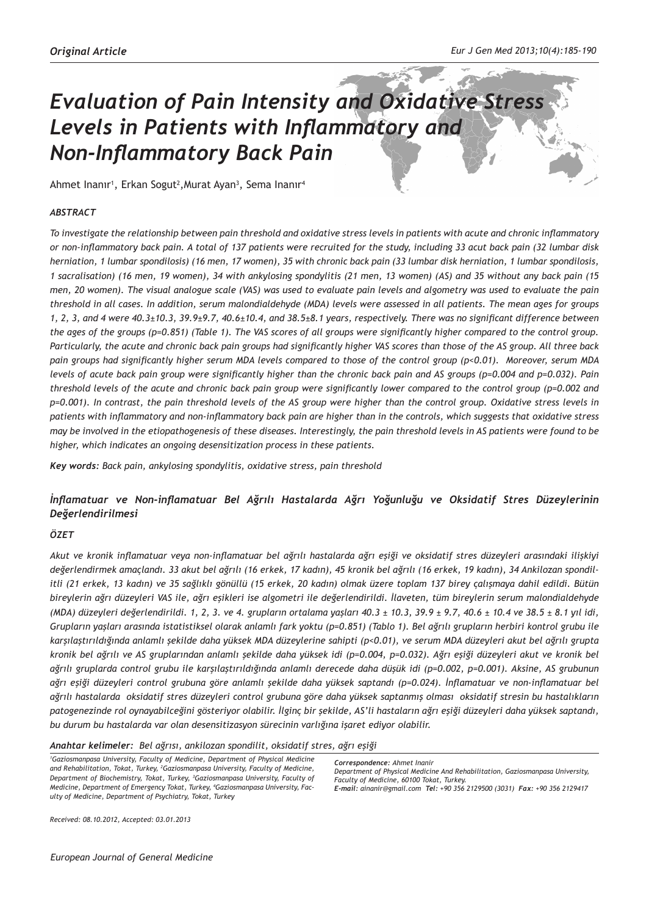# *Evaluation of Pain Intensity and Oxidative Stress Levels in Patients with Inflammatory and Non-Inflammatory Back Pain*

Ahmet Inanır<sup>1</sup>, Erkan Sogut<sup>2</sup>,Murat Ayan<sup>3</sup>, Sema Inanır<sup>4</sup>

### *ABSTRACT*

*To investigate the relationship between pain threshold and oxidative stress levels in patients with acute and chronic inflammatory or non-inflammatory back pain. A total of 137 patients were recruited for the study, including 33 acut back pain (32 lumbar disk herniation, 1 lumbar spondilosis) (16 men, 17 women), 35 with chronic back pain (33 lumbar disk herniation, 1 lumbar spondilosis, 1 sacralisation) (16 men, 19 women), 34 with ankylosing spondylitis (21 men, 13 women) (AS) and 35 without any back pain (15 men, 20 women). The visual analogue scale (VAS) was used to evaluate pain levels and algometry was used to evaluate the pain threshold in all cases. In addition, serum malondialdehyde (MDA) levels were assessed in all patients. The mean ages for groups 1, 2, 3, and 4 were 40.3±10.3, 39.9±9.7, 40.6±10.4, and 38.5±8.1 years, respectively. There was no significant difference between the ages of the groups (p=0.851) (Table 1). The VAS scores of all groups were significantly higher compared to the control group. Particularly, the acute and chronic back pain groups had significantly higher VAS scores than those of the AS group. All three back pain groups had significantly higher serum MDA levels compared to those of the control group (p<0.01). Moreover, serum MDA levels of acute back pain group were significantly higher than the chronic back pain and AS groups (p=0.004 and p=0.032). Pain threshold levels of the acute and chronic back pain group were significantly lower compared to the control group (p=0.002 and p=0.001). In contrast, the pain threshold levels of the AS group were higher than the control group. Oxidative stress levels in patients with inflammatory and non-inflammatory back pain are higher than in the controls, which suggests that oxidative stress may be involved in the etiopathogenesis of these diseases. Interestingly, the pain threshold levels in AS patients were found to be higher, which indicates an ongoing desensitization process in these patients.*

*Key words: Back pain, ankylosing spondylitis, oxidative stress, pain threshold* 

## *İnflamatuar ve Non-inflamatuar Bel Ağrılı Hastalarda Ağrı Yoğunluğu ve Oksidatif Stres Düzeylerinin Değerlendirilmesi*

#### *ÖZET*

*Akut ve kronik inflamatuar veya non-inflamatuar bel ağrılı hastalarda ağrı eşiği ve oksidatif stres düzeyleri arasındaki ilişkiyi değerlendirmek amaçlandı. 33 akut bel ağrılı (16 erkek, 17 kadın), 45 kronik bel ağrılı (16 erkek, 19 kadın), 34 Ankilozan spondilitli (21 erkek, 13 kadın) ve 35 sağlıklı gönüllü (15 erkek, 20 kadın) olmak üzere toplam 137 birey çalışmaya dahil edildi. Bütün bireylerin ağrı düzeyleri VAS ile, ağrı eşikleri ise algometri ile değerlendirildi. İlaveten, tüm bireylerin serum malondialdehyde (MDA) düzeyleri değerlendirildi. 1, 2, 3. ve 4. grupların ortalama yaşları 40.3 ± 10.3, 39.9 ± 9.7, 40.6 ± 10.4 ve 38.5 ± 8.1 yıl idi, Grupların yaşları arasında istatistiksel olarak anlamlı fark yoktu (p=0.851) (Tablo 1). Bel ağrılı grupların herbiri kontrol grubu ile karşılaştırıldığında anlamlı şekilde daha yüksek MDA düzeylerine sahipti (p<0.01), ve serum MDA düzeyleri akut bel ağrılı grupta kronik bel ağrılı ve AS gruplarından anlamlı şekilde daha yüksek idi (p=0.004, p=0.032). Ağrı eşiği düzeyleri akut ve kronik bel ağrılı gruplarda control grubu ile karşılaştırıldığında anlamlı derecede daha düşük idi (p=0.002, p=0.001). Aksine, AS grubunun ağrı eşiği düzeyleri control grubuna göre anlamlı şekilde daha yüksek saptandı (p=0.024). İnflamatuar ve non-inflamatuar bel ağrılı hastalarda oksidatif stres düzeyleri control grubuna göre daha yüksek saptanmış olması oksidatif stresin bu hastalıkların patogenezinde rol oynayabilceğini gösteriyor olabilir. İlginç bir şekilde, AS'li hastaların ağrı eşiği düzeyleri daha yüksek saptandı, bu durum bu hastalarda var olan desensitizasyon sürecinin varlığına işaret ediyor olabilir.* 

*Anahtar kelimeler: Bel ağrısı, ankilozan spondilit, oksidatif stres, ağrı eşiği* 

*1 Gaziosmanpasa University, Faculty of Medicine, Department of Physical Medicine and Rehabilitation, Tokat, Turkey, 2 Gaziosmanpasa University, Faculty of Medicine, Department of Biochemistry, Tokat, Turkey, 3 Gaziosmanpasa University, Faculty of Medicine, Department of Emergency Tokat, Turkey, 4 Gaziosmanpasa University, Faculty of Medicine, Department of Psychiatry, Tokat, Turkey*

*Correspondence: Ahmet Inanir Department of Physical Medicine And Rehabilitation, Gaziosmanpasa University, Faculty of Medicine, 60100 Tokat, Turkey.*

*E-mail: ainanir@gmail.com Tel: +90 356 2129500 (3031) Fax: +90 356 2129417*

*Received: 08.10.2012, Accepted: 03.01.2013*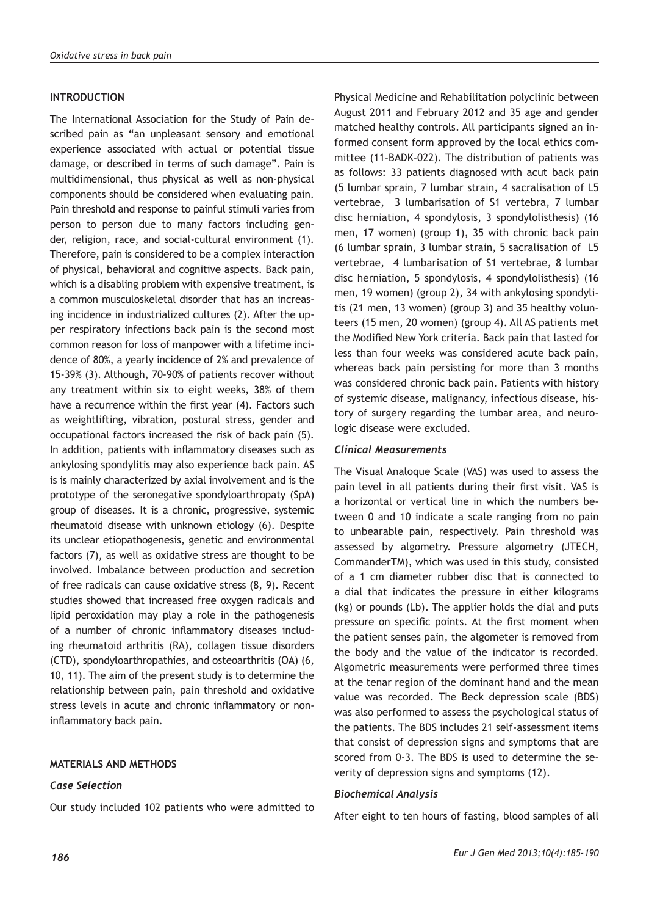## **INTRODUCTION**

The International Association for the Study of Pain described pain as "an unpleasant sensory and emotional experience associated with actual or potential tissue damage, or described in terms of such damage". Pain is multidimensional, thus physical as well as non-physical components should be considered when evaluating pain. Pain threshold and response to painful stimuli varies from person to person due to many factors including gender, religion, race, and social-cultural environment (1). Therefore, pain is considered to be a complex interaction of physical, behavioral and cognitive aspects. Back pain, which is a disabling problem with expensive treatment, is a common musculoskeletal disorder that has an increasing incidence in industrialized cultures (2). After the upper respiratory infections back pain is the second most common reason for loss of manpower with a lifetime incidence of 80%, a yearly incidence of 2% and prevalence of 15-39% (3). Although, 70-90% of patients recover without any treatment within six to eight weeks, 38% of them have a recurrence within the first year (4). Factors such as weightlifting, vibration, postural stress, gender and occupational factors increased the risk of back pain (5). In addition, patients with inflammatory diseases such as ankylosing spondylitis may also experience back pain. AS is is mainly characterized by axial involvement and is the prototype of the seronegative spondyloarthropaty (SpA) group of diseases. It is a chronic, progressive, systemic rheumatoid disease with unknown etiology (6). Despite its unclear etiopathogenesis, genetic and environmental factors (7), as well as oxidative stress are thought to be involved. Imbalance between production and secretion of free radicals can cause oxidative stress (8, 9). Recent studies showed that increased free oxygen radicals and lipid peroxidation may play a role in the pathogenesis of a number of chronic inflammatory diseases including rheumatoid arthritis (RA), collagen tissue disorders (CTD), spondyloarthropathies, and osteoarthritis (OA) (6, 10, 11). The aim of the present study is to determine the relationship between pain, pain threshold and oxidative stress levels in acute and chronic inflammatory or noninflammatory back pain.

## **MATERIALS AND METHODS**

## *Case Selection*

Our study included 102 patients who were admitted to

Physical Medicine and Rehabilitation polyclinic between August 2011 and February 2012 and 35 age and gender matched healthy controls. All participants signed an informed consent form approved by the local ethics committee (11-BADK-022). The distribution of patients was as follows: 33 patients diagnosed with acut back pain (5 lumbar sprain, 7 lumbar strain, 4 sacralisation of L5 vertebrae, 3 lumbarisation of S1 vertebra, 7 lumbar disc herniation, 4 spondylosis, 3 spondylolisthesis) (16 men, 17 women) (group 1), 35 with chronic back pain (6 lumbar sprain, 3 lumbar strain, 5 sacralisation of L5 vertebrae, 4 lumbarisation of S1 vertebrae, 8 lumbar disc herniation, 5 spondylosis, 4 spondylolisthesis) (16 men, 19 women) (group 2), 34 with ankylosing spondylitis (21 men, 13 women) (group 3) and 35 healthy volunteers (15 men, 20 women) (group 4). All AS patients met the Modified New York criteria. Back pain that lasted for less than four weeks was considered acute back pain, whereas back pain persisting for more than 3 months was considered chronic back pain. Patients with history of systemic disease, malignancy, infectious disease, history of surgery regarding the lumbar area, and neurologic disease were excluded.

## *Clinical Measurements*

The Visual Analoque Scale (VAS) was used to assess the pain level in all patients during their first visit. VAS is a horizontal or vertical line in which the numbers between 0 and 10 indicate a scale ranging from no pain to unbearable pain, respectively. Pain threshold was assessed by algometry. Pressure algometry (JTECH, CommanderTM), which was used in this study, consisted of a 1 cm diameter rubber disc that is connected to a dial that indicates the pressure in either kilograms (kg) or pounds (Lb). The applier holds the dial and puts pressure on specific points. At the first moment when the patient senses pain, the algometer is removed from the body and the value of the indicator is recorded. Algometric measurements were performed three times at the tenar region of the dominant hand and the mean value was recorded. The Beck depression scale (BDS) was also performed to assess the psychological status of the patients. The BDS includes 21 self-assessment items that consist of depression signs and symptoms that are scored from 0-3. The BDS is used to determine the severity of depression signs and symptoms (12).

## *Biochemical Analysis*

After eight to ten hours of fasting, blood samples of all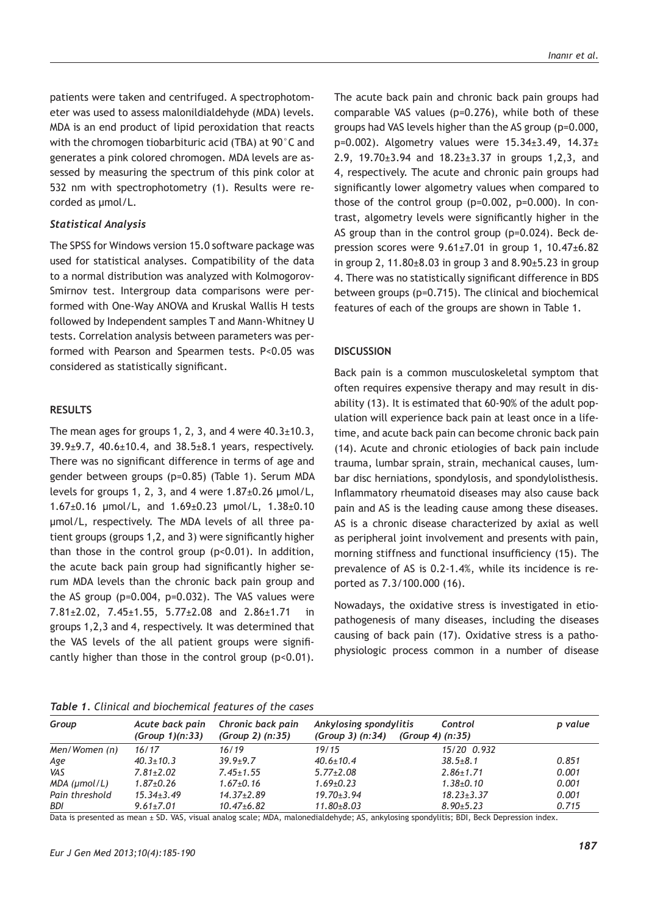patients were taken and centrifuged. A spectrophotometer was used to assess malonildialdehyde (MDA) levels. MDA is an end product of lipid peroxidation that reacts with the chromogen tiobarbituric acid (TBA) at 90°C and generates a pink colored chromogen. MDA levels are assessed by measuring the spectrum of this pink color at 532 nm with spectrophotometry (1). Results were recorded as µmol/L.

#### *Statistical Analysis*

The SPSS for Windows version 15.0 software package was used for statistical analyses. Compatibility of the data to a normal distribution was analyzed with Kolmogorov-Smirnov test. Intergroup data comparisons were performed with One-Way ANOVA and Kruskal Wallis H tests followed by Independent samples T and Mann-Whitney U tests. Correlation analysis between parameters was performed with Pearson and Spearmen tests. P<0.05 was considered as statistically significant.

#### **RESULTS**

The mean ages for groups 1, 2, 3, and 4 were  $40.3 \pm 10.3$ , 39.9±9.7, 40.6±10.4, and 38.5±8.1 years, respectively. There was no significant difference in terms of age and gender between groups (p=0.85) (Table 1). Serum MDA levels for groups 1, 2, 3, and 4 were  $1.87\pm0.26$  µmol/L, 1.67±0.16 µmol/L, and 1.69±0.23 µmol/L, 1.38±0.10 µmol/L, respectively. The MDA levels of all three patient groups (groups 1,2, and 3) were significantly higher than those in the control group  $(p<0.01)$ . In addition, the acute back pain group had significantly higher serum MDA levels than the chronic back pain group and the AS group (p=0.004, p=0.032). The VAS values were 7.81±2.02, 7.45±1.55, 5.77±2.08 and 2.86±1.71 in groups 1,2,3 and 4, respectively. It was determined that the VAS levels of the all patient groups were significantly higher than those in the control group (p<0.01). The acute back pain and chronic back pain groups had comparable VAS values (p=0.276), while both of these groups had VAS levels higher than the AS group (p=0.000,  $p=0.002$ ). Algometry values were  $15.34 \pm 3.49$ ,  $14.37 \pm 3.49$ 2.9, 19.70±3.94 and 18.23±3.37 in groups 1,2,3, and 4, respectively. The acute and chronic pain groups had significantly lower algometry values when compared to those of the control group (p=0.002, p=0.000). In contrast, algometry levels were significantly higher in the AS group than in the control group (p=0.024). Beck depression scores were 9.61±7.01 in group 1, 10.47±6.82 in group 2, 11.80 $\pm$ 8.03 in group 3 and 8.90 $\pm$ 5.23 in group 4. There was no statistically significant difference in BDS between groups (p=0.715). The clinical and biochemical features of each of the groups are shown in Table 1.

### **DISCUSSION**

Back pain is a common musculoskeletal symptom that often requires expensive therapy and may result in disability (13). It is estimated that 60-90% of the adult population will experience back pain at least once in a lifetime, and acute back pain can become chronic back pain (14). Acute and chronic etiologies of back pain include trauma, lumbar sprain, strain, mechanical causes, lumbar disc herniations, spondylosis, and spondylolisthesis. Inflammatory rheumatoid diseases may also cause back pain and AS is the leading cause among these diseases. AS is a chronic disease characterized by axial as well as peripheral joint involvement and presents with pain, morning stiffness and functional insufficiency (15). The prevalence of AS is 0.2-1.4%, while its incidence is reported as 7.3/100.000 (16).

Nowadays, the oxidative stress is investigated in etiopathogenesis of many diseases, including the diseases causing of back pain (17). Oxidative stress is a pathophysiologic process common in a number of disease

*Table 1. Clinical and biochemical features of the cases*

| Group              | Acute back pain<br>(Group 1)(n:33) | Chronic back pain<br>(Group 2) (n:35) | Ankylosing spondylitis<br>(Group 3) (n:34) | Control<br>(Group 4) (n:35) | p value |
|--------------------|------------------------------------|---------------------------------------|--------------------------------------------|-----------------------------|---------|
| Men/Women (n)      | 16/17                              | 16/19                                 | 19/15                                      | 15/20 0.932                 |         |
| Age                | $40.3 \pm 10.3$                    | $39.9 + 9.7$                          | $40.6 \pm 10.4$                            | $38.5 \pm 8.1$              | 0.851   |
| VAS                | $7.81 \pm 2.02$                    | $7.45 \pm 1.55$                       | $5.77 \pm 2.08$                            | $2.86 \pm 1.71$             | 0.001   |
| $MDA$ ( $µmol/L$ ) | $1.87 \pm 0.26$                    | $1.67 \pm 0.16$                       | $1.69 \pm 0.23$                            | $1.38{\pm}0.10$             | 0.001   |
| Pain threshold     | $15.34 \pm 3.49$                   | $14.37 \pm 2.89$                      | $19.70 \pm 3.94$                           | $18.23 \pm 3.37$            | 0.001   |
| BDI                | $9.61 \pm 7.01$                    | $10.47 \pm 6.82$                      | $11.80 \pm 8.03$                           | $8.90 \pm 5.23$             | 0.715   |

Data is presented as mean ± SD. VAS, visual analog scale; MDA, malonedialdehyde; AS, ankylosing spondylitis; BDI, Beck Depression index.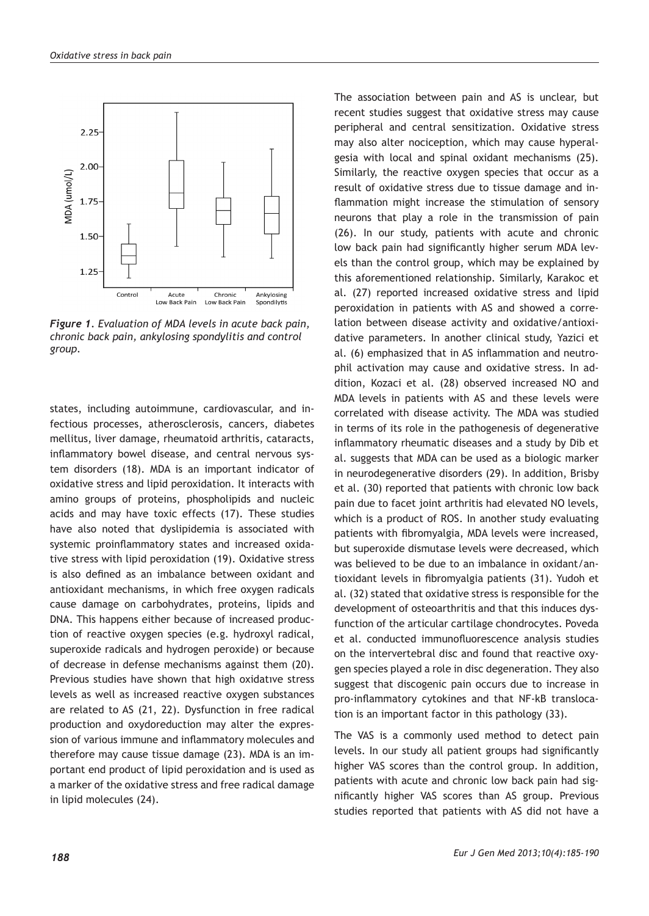

*Figure 1. Evaluation of MDA levels in acute back pain, chronic back pain, ankylosing spondylitis and control group.* 

states, including autoimmune, cardiovascular, and infectious processes, atherosclerosis, cancers, diabetes mellitus, liver damage, rheumatoid arthritis, cataracts, inflammatory bowel disease, and central nervous system disorders (18). MDA is an important indicator of oxidative stress and lipid peroxidation. It interacts with amino groups of proteins, phospholipids and nucleic acids and may have toxic effects (17). These studies have also noted that dyslipidemia is associated with systemic proinflammatory states and increased oxidative stress with lipid peroxidation (19). Oxidative stress is also defined as an imbalance between oxidant and antioxidant mechanisms, in which free oxygen radicals cause damage on carbohydrates, proteins, lipids and DNA. This happens either because of increased production of reactive oxygen species (e.g. hydroxyl radical, superoxide radicals and hydrogen peroxide) or because of decrease in defense mechanisms against them (20). Previous studies have shown that high oxidatıve stress levels as well as increased reactive oxygen substances are related to AS (21, 22). Dysfunction in free radical production and oxydoreduction may alter the expression of various immune and inflammatory molecules and therefore may cause tissue damage (23). MDA is an important end product of lipid peroxidation and is used as a marker of the oxidative stress and free radical damage in lipid molecules (24).

The association between pain and AS is unclear, but recent studies suggest that oxidative stress may cause peripheral and central sensitization. Oxidative stress may also alter nociception, which may cause hyperalgesia with local and spinal oxidant mechanisms (25). Similarly, the reactive oxygen species that occur as a result of oxidative stress due to tissue damage and inflammation might increase the stimulation of sensory neurons that play a role in the transmission of pain (26). In our study, patients with acute and chronic low back pain had significantly higher serum MDA levels than the control group, which may be explained by this aforementioned relationship. Similarly, Karakoc et al. (27) reported increased oxidative stress and lipid peroxidation in patients with AS and showed a correlation between disease activity and oxidative/antioxidative parameters. In another clinical study, Yazici et al. (6) emphasized that in AS inflammation and neutrophil activation may cause and oxidative stress. In addition, Kozaci et al. (28) observed increased NO and MDA levels in patients with AS and these levels were correlated with disease activity. The MDA was studied in terms of its role in the pathogenesis of degenerative inflammatory rheumatic diseases and a study by Dib et al. suggests that MDA can be used as a biologic marker in neurodegenerative disorders (29). In addition, Brisby et al. (30) reported that patients with chronic low back pain due to facet joint arthritis had elevated NO levels, which is a product of ROS. In another study evaluating patients with fibromyalgia, MDA levels were increased, but superoxide dismutase levels were decreased, which was believed to be due to an imbalance in oxidant/antioxidant levels in fibromyalgia patients (31). Yudoh et al. (32) stated that oxidative stress is responsible for the development of osteoarthritis and that this induces dysfunction of the articular cartilage chondrocytes. Poveda et al. conducted immunofluorescence analysis studies on the intervertebral disc and found that reactive oxygen species played a role in disc degeneration. They also suggest that discogenic pain occurs due to increase in pro-inflammatory cytokines and that NF-kB translocation is an important factor in this pathology (33).

The VAS is a commonly used method to detect pain levels. In our study all patient groups had significantly higher VAS scores than the control group. In addition, patients with acute and chronic low back pain had significantly higher VAS scores than AS group. Previous studies reported that patients with AS did not have a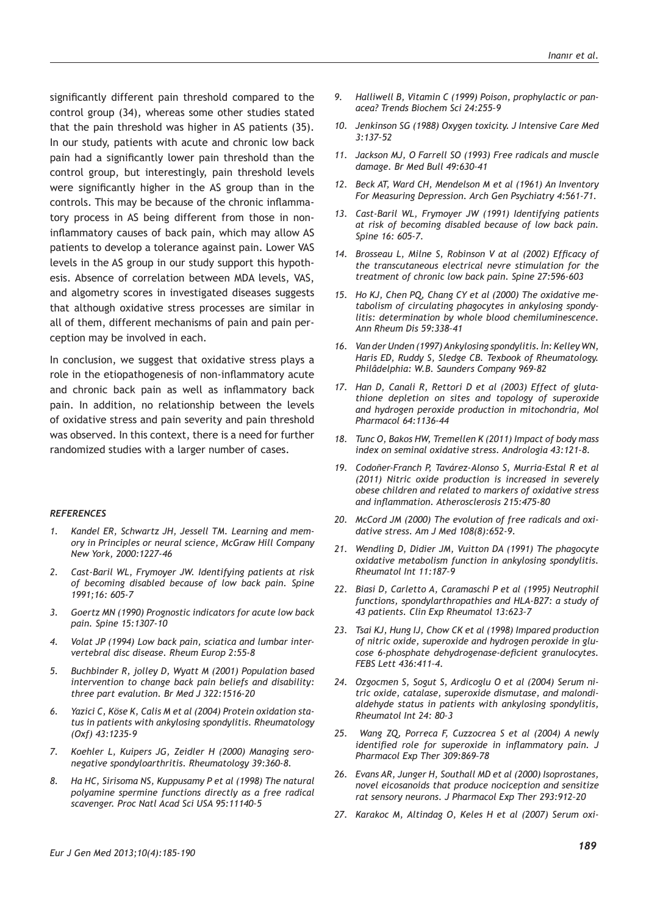significantly different pain threshold compared to the control group (34), whereas some other studies stated that the pain threshold was higher in AS patients (35). In our study, patients with acute and chronic low back pain had a significantly lower pain threshold than the control group, but interestingly, pain threshold levels were significantly higher in the AS group than in the controls. This may be because of the chronic inflammatory process in AS being different from those in noninflammatory causes of back pain, which may allow AS patients to develop a tolerance against pain. Lower VAS levels in the AS group in our study support this hypothesis. Absence of correlation between MDA levels, VAS, and algometry scores in investigated diseases suggests that although oxidative stress processes are similar in all of them, different mechanisms of pain and pain perception may be involved in each.

In conclusion, we suggest that oxidative stress plays a role in the etiopathogenesis of non-inflammatory acute and chronic back pain as well as inflammatory back pain. In addition, no relationship between the levels of oxidative stress and pain severity and pain threshold was observed. In this context, there is a need for further randomized studies with a larger number of cases.

#### *REFERENCES*

- *1. Kandel ER, Schwartz JH, Jessell TM. Learning and memory in Principles or neural science, McGraw Hill Company New York, 2000:1227-46*
- *2. Cast-Baril WL, Frymoyer JW. Identifying patients at risk of becoming disabled because of low back pain. Spine 1991;16: 605-7*
- *3. Goertz MN (1990) Prognostic indicators for acute low back pain. Spine 15:1307-10*
- *4. Volat JP (1994) Low back pain, sciatica and lumbar intervertebral disc disease. Rheum Europ 2:55-8*
- *5. Buchbinder R, jolley D, Wyatt M (2001) Population based intervention to change back pain beliefs and disability: three part evalution. Br Med J 322:1516-20*
- *6. Yazici C, Köse K, Calis M et al (2004) Protein oxidation status in patients with ankylosing spondylitis. Rheumatology (Oxf) 43:1235-9*
- *7. Koehler L, Kuipers JG, Zeidler H (2000) Managing seronegative spondyloarthritis. Rheumatology 39:360-8.*
- *8. Ha HC, Sirisoma NS, Kuppusamy P et al (1998) The natural polyamine spermine functions directly as a free radical scavenger. Proc Natl Acad Sci USA 95:11140–5*
- *9. Halliwell B, Vitamin C (1999) Poison, prophylactic or panacea? Trends Biochem Sci 24:255–9*
- *10. Jenkinson SG (1988) Oxygen toxicity. J Intensive Care Med 3:137–52*
- *11. Jackson MJ, O Farrell SO (1993) Free radicals and muscle damage. Br Med Bull 49:630–41*
- *12. Beck AT, Ward CH, Mendelson M et al (1961) An Inventory For Measuring Depression. Arch Gen Psychiatry 4:561-71.*
- *13. Cast-Baril WL, Frymoyer JW (1991) Identifying patients at risk of becoming disabled because of low back pain. Spine 16: 605-7.*
- *14. Brosseau L, Milne S, Robinson V at al (2002) Efficacy of the transcutaneous electrical nevre stimulation for the treatment of chronic low back pain. Spine 27:596-603*
- *15. Ho KJ, Chen PQ, Chang CY et al (2000) The oxidative metabolism of circulating phagocytes in ankylosing spondylitis: determination by whole blood chemiluminescence. Ann Rheum Dis 59:338–41*
- *16. Van der Unden (1997) Ankylosing spondylitis. İn: Kelley WN, Haris ED, Ruddy S, Sledge CB. Texbook of Rheumatology. Philâdelphia: W.B. Saunders Company 969-82*
- *17. Han D, Canali R, Rettori D et al (2003) Effect of glutathione depletion on sites and topology of superoxide and hydrogen peroxide production in mitochondria, Mol Pharmacol 64:1136-44*
- *18. Tunc O, Bakos HW, Tremellen K (2011) Impact of body mass index on seminal oxidative stress. Andrologia 43:121-8.*
- *19. Codoñer-Franch P, Tavárez-Alonso S, Murria-Estal R et al (2011) Nitric oxide production is increased in severely obese children and related to markers of oxidative stress and inflammation. Atherosclerosis 215:475-80*
- *20. McCord JM (2000) The evolution of free radicals and oxidative stress. Am J Med 108(8):652-9.*
- *21. Wendling D, Didier JM, Vuitton DA (1991) The phagocyte oxidative metabolism function in ankylosing spondylitis. Rheumatol Int 11:187–9*
- *22. Biasi D, Carletto A, Caramaschi P et al (1995) Neutrophil functions, spondylarthropathies and HLA-B27: a study of 43 patients. Clin Exp Rheumatol 13:623–7*
- *23. Tsai KJ, Hung IJ, Chow CK et al (1998) Impared production of nitric oxide, superoxide and hydrogen peroxide in glucose 6-phosphate dehydrogenase-deficient granulocytes. FEBS Lett 436:411–4.*
- *24. Ozgocmen S, Sogut S, Ardicoglu O et al (2004) Serum nitric oxide, catalase, superoxide dismutase, and malondialdehyde status in patients with ankylosing spondylitis, Rheumatol Int 24: 80–3*
- *25. Wang ZQ, Porreca F, Cuzzocrea S et al (2004) A newly identified role for superoxide in inflammatory pain. J Pharmacol Exp Ther 309:869–78*
- *26. Evans AR, Junger H, Southall MD et al (2000) Isoprostanes, novel eicosanoids that produce nociception and sensitize rat sensory neurons. J Pharmacol Exp Ther 293:912–20*
- *27. Karakoc M, Altindag O, Keles H et al (2007) Serum oxi-*